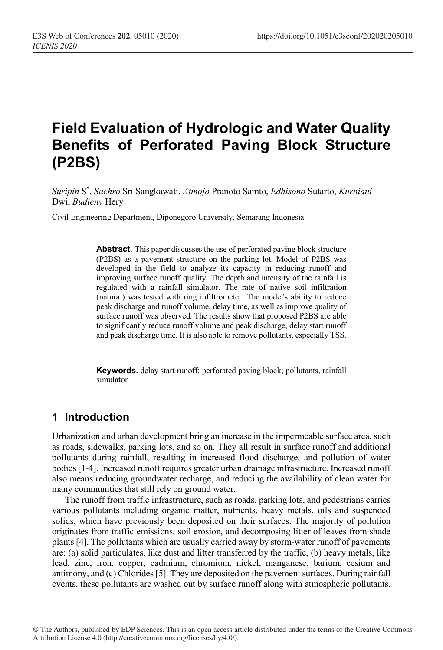# **Field Evaluation of Hydrologic and Water Quality Benefits of Perforated Paving Block Structure (P2BS)**

*Suripin* S\* , *Sachro* Sri Sangkawati, *Atmojo* Pranoto Samto, *Edhisono* Sutarto, *Kurniani* Dwi, *Budieny* Hery

Civil Engineering Department, Diponegoro University, Semarang Indonesia

**Abstract**. This paper discusses the use of perforated paving block structure (P2BS) as a pavement structure on the parking lot. Model of P2BS was developed in the field to analyze its capacity in reducing runoff and improving surface runoff quality. The depth and intensity of the rainfall is regulated with a rainfall simulator. The rate of native soil infiltration (natural) was tested with ring infiltrometer. The model's ability to reduce peak discharge and runoff volume, delay time, as well as improve quality of surface runoff was observed. The results show that proposed P2BS are able to significantly reduce runoff volume and peak discharge, delay start runoff and peak discharge time. It is also able to remove pollutants, especially TSS.

**Keywords.** delay start runoff; perforated paving block; pollutants, rainfall simulator

#### **1 Introduction**

Urbanization and urban development bring an increase in the impermeable surface area, such as roads, sidewalks, parking lots, and so on. They all result in surface runoff and additional pollutants during rainfall, resulting in increased flood discharge, and pollution of water bodies[1-4]. Increased runoff requires greater urban drainage infrastructure. Increased runoff also means reducing groundwater recharge, and reducing the availability of clean water for many communities that still rely on ground water.

The runoff from traffic infrastructure, such as roads, parking lots, and pedestrians carries various pollutants including organic matter, nutrients, heavy metals, oils and suspended solids, which have previously been deposited on their surfaces. The majority of pollution originates from traffic emissions, soil erosion, and decomposing litter of leaves from shade plants [4]. The pollutants which are usually carried away by storm-water runoff of pavements are: (a) solid particulates, like dust and litter transferred by the traffic, (b) heavy metals, like lead, zinc, iron, copper, cadmium, chromium, nickel, manganese, barium, cesium and antimony, and (c) Chlorides[5]. They are deposited on the pavement surfaces. During rainfall events, these pollutants are washed out by surface runoff along with atmospheric pollutants.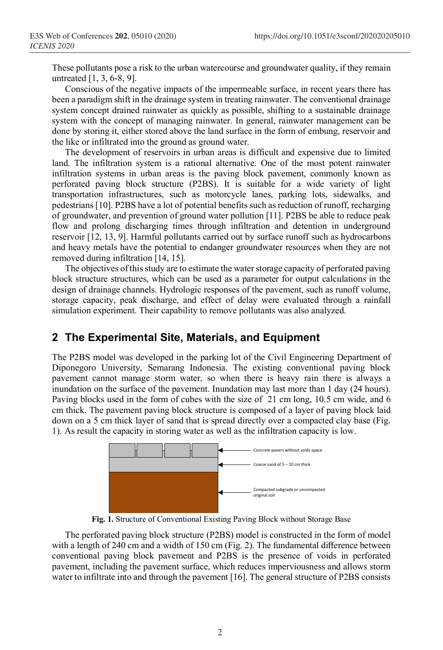These pollutants pose a risk to the urban watercourse and groundwater quality, if they remain untreated [1, 3, 6-8, 9].

Conscious of the negative impacts of the impermeable surface, in recent years there has been a paradigm shift in the drainage system in treating rainwater. The conventional drainage system concept drained rainwater as quickly as possible, shifting to a sustainable drainage system with the concept of managing rainwater. In general, rainwater management can be done by storing it, either stored above the land surface in the form of embung, reservoir and the like or infiltrated into the ground as ground water.

The development of reservoirs in urban areas is difficult and expensive due to limited land. The infiltration system is a rational alternative. One of the most potent rainwater infiltration systems in urban areas is the paving block pavement, commonly known as perforated paving block structure (P2BS). It is suitable for a wide variety of light transportation infrastructures, such as motorcycle lanes, parking lots, sidewalks, and pedestrians [10]. P2BS have a lot of potential benefits such as reduction of runoff, recharging of groundwater, and prevention of ground water pollution [11]. P2BS be able to reduce peak flow and prolong discharging times through infiltration and detention in underground reservoir [12, 13, 9]. Harmful pollutants carried out by surface runoff such as hydrocarbons and heavy metals have the potential to endanger groundwater resources when they are not removed during infiltration [14, 15].

The objectives of this study are to estimate the water storage capacity of perforated paving block structure structures, which can be used as a parameter for output calculations in the design of drainage channels. Hydrologic responses of the pavement, such as runoff volume, storage capacity, peak discharge, and effect of delay were evaluated through a rainfall simulation experiment. Their capability to remove pollutants was also analyzed.

## **2 The Experimental Site, Materials, and Equipment**

The P2BS model was developed in the parking lot of the Civil Engineering Department of Diponegoro University, Semarang Indonesia. The existing conventional paving block pavement cannot manage storm water, so when there is heavy rain there is always a inundation on the surface of the pavement. Inundation may last more than 1 day (24 hours). Paving blocks used in the form of cubes with the size of 21 cm long, 10.5 cm wide, and 6 cm thick. The pavement paving block structure is composed of a layer of paving block laid down on a 5 cm thick layer of sand that is spread directly over a compacted clay base (Fig. 1). As result the capacity in storing water as well as the infiltration capacity is low.



**Fig. 1.** Structure of Conventional Existing Paving Block without Storage Base

The perforated paving block structure (P2BS) model is constructed in the form of model with a length of 240 cm and a width of 150 cm (Fig. 2). The fundamental difference between conventional paving block pavement and P2BS is the presence of voids in perforated pavement, including the pavement surface, which reduces imperviousness and allows storm water to infiltrate into and through the pavement [16]. The general structure of P2BS consists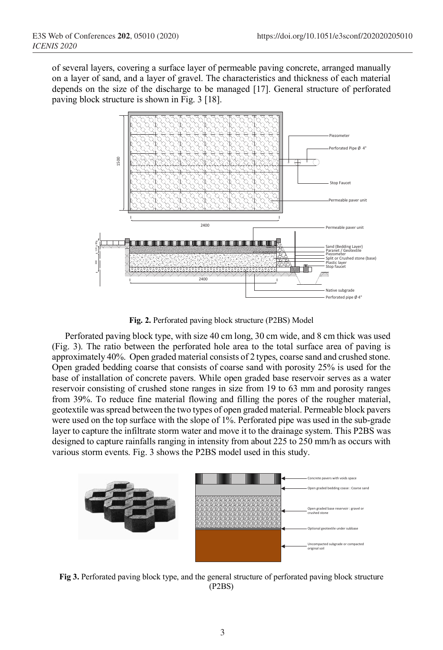of several layers, covering a surface layer of permeable paving concrete, arranged manually on a layer of sand, and a layer of gravel. The characteristics and thickness of each material depends on the size of the discharge to be managed [17]. General structure of perforated paving block structure is shown in Fig. 3 [18].



**Fig. 2.** Perforated paving block structure (P2BS) Model

Perforated paving block type, with size 40 cm long, 30 cm wide, and 8 cm thick was used (Fig. 3). The ratio between the perforated hole area to the total surface area of paving is approximately 40%. Open graded material consists of 2 types, coarse sand and crushed stone. Open graded bedding coarse that consists of coarse sand with porosity 25% is used for the base of installation of concrete pavers. While open graded base reservoir serves as a water reservoir consisting of crushed stone ranges in size from 19 to 63 mm and porosity ranges from 39%. To reduce fine material flowing and filling the pores of the rougher material, geotextile was spread between the two types of open graded material. Permeable block pavers were used on the top surface with the slope of 1%. Perforated pipe was used in the sub-grade layer to capture the infiltrate storm water and move it to the drainage system. This P2BS was designed to capture rainfalls ranging in intensity from about 225 to 250 mm/h as occurs with various storm events. Fig. 3 shows the P2BS model used in this study.



**Fig 3.** Perforated paving block type, and the general structure of perforated paving block structure (P2BS)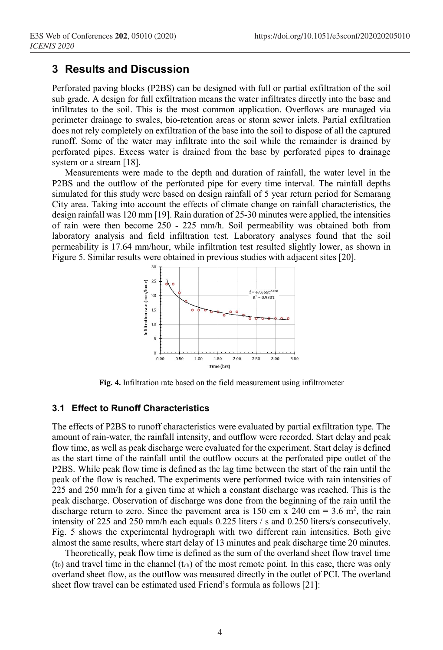### **3 Results and Discussion**

Perforated paving blocks (P2BS) can be designed with full or partial exfiltration of the soil sub grade. A design for full exfiltration means the water infiltrates directly into the base and infiltrates to the soil. This is the most common application. Overflows are managed via perimeter drainage to swales, bio-retention areas or storm sewer inlets. Partial exfiltration does not rely completely on exfiltration of the base into the soil to dispose of all the captured runoff. Some of the water may infiltrate into the soil while the remainder is drained by perforated pipes. Excess water is drained from the base by perforated pipes to drainage system or a stream [18].

Measurements were made to the depth and duration of rainfall, the water level in the P2BS and the outflow of the perforated pipe for every time interval. The rainfall depths simulated for this study were based on design rainfall of 5 year return period for Semarang City area. Taking into account the effects of climate change on rainfall characteristics, the design rainfall was 120 mm [19]. Rain duration of 25-30 minutes were applied, the intensities of rain were then become 250 - 225 mm/h. Soil permeability was obtained both from laboratory analysis and field infiltration test. Laboratory analyses found that the soil permeability is 17.64 mm/hour, while infiltration test resulted slightly lower, as shown in Figure 5. Similar results were obtained in previous studies with adjacent sites [20].



**Fig. 4.** Infiltration rate based on the field measurement using infiltrometer

#### **3.1 Effect to Runoff Characteristics**

The effects of P2BS to runoff characteristics were evaluated by partial exfiltration type. The amount of rain-water, the rainfall intensity, and outflow were recorded. Start delay and peak flow time, as well as peak discharge were evaluated for the experiment. Start delay is defined as the start time of the rainfall until the outflow occurs at the perforated pipe outlet of the P2BS. While peak flow time is defined as the lag time between the start of the rain until the peak of the flow is reached. The experiments were performed twice with rain intensities of 225 and 250 mm/h for a given time at which a constant discharge was reached. This is the peak discharge. Observation of discharge was done from the beginning of the rain until the discharge return to zero. Since the pavement area is 150 cm x 240 cm = 3.6 m<sup>2</sup>, the rain intensity of 225 and 250 mm/h each equals 0.225 liters / s and 0.250 liters/s consecutively. Fig. 5 shows the experimental hydrograph with two different rain intensities. Both give almost the same results, where start delay of 13 minutes and peak discharge time 20 minutes.

Theoretically, peak flow time is defined as the sum of the overland sheet flow travel time (t0) and travel time in the channel (tch) of the most remote point. In this case, there was only overland sheet flow, as the outflow was measured directly in the outlet of PCI. The overland sheet flow travel can be estimated used Friend's formula as follows [21]: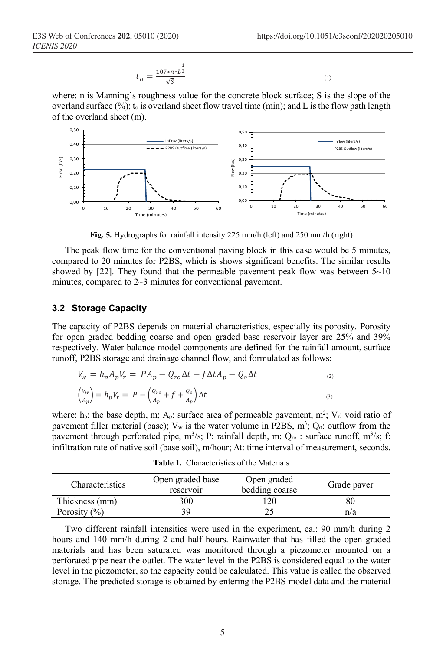$$
t_o = \frac{107 \cdot n \cdot L^{\frac{1}{3}}}{\sqrt{5}} \tag{1}
$$

where: n is Manning's roughness value for the concrete block surface; S is the slope of the overland surface  $(\%)$ ; t<sub>o</sub> is overland sheet flow travel time (min); and L is the flow path length of the overland sheet (m).



**Fig. 5.** Hydrographs for rainfall intensity 225 mm/h (left) and 250 mm/h (right)

The peak flow time for the conventional paving block in this case would be 5 minutes, compared to 20 minutes for P2BS, which is shows significant benefits. The similar results showed by [22]. They found that the permeable pavement peak flow was between  $5\neg 10$ minutes, compared to  $2\neg 3$  minutes for conventional pavement.

#### **3.2 Storage Capacity**

The capacity of P2BS depends on material characteristics, especially its porosity. Porosity for open graded bedding coarse and open graded base reservoir layer are 25% and 39% respectively. Water balance model components are defined for the rainfall amount, surface runoff, P2BS storage and drainage channel flow, and formulated as follows:

$$
V_w = h_p A_p V_r = P A_p - Q_{ro} \Delta t - f \Delta t A_p - Q_o \Delta t
$$
  
\n
$$
\left(\frac{V_w}{A_p}\right) = h_p V_r = P - \left(\frac{Q_{ro}}{A_p} + f + \frac{Q_o}{A_p}\right) \Delta t
$$
  
\n(3)

where:  $h_p$ : the base depth, m;  $A_p$ : surface area of permeable pavement, m<sup>2</sup>; V<sub>r</sub>: void ratio of pavement filler material (base);  $V_w$  is the water volume in P2BS,  $m^3$ ;  $Q_0$ : outflow from the pavement through perforated pipe,  $m^3/s$ ; P: rainfall depth, m;  $Q_{\text{ro}}$  : surface runoff,  $m^3/s$ ; f: infiltration rate of native soil (base soil), m/hour;  $\Delta t$ : time interval of measurement, seconds.

| <b>Table 1.</b> Characteristics of the Materials |  |
|--------------------------------------------------|--|
|                                                  |  |

| Characteristics  | Open graded base<br>reservoir | Open graded<br>bedding coarse | Grade paver |  |
|------------------|-------------------------------|-------------------------------|-------------|--|
| Thickness (mm)   | 300                           | 120                           | 80          |  |
| Porosity $(\% )$ | 39                            |                               | n/a         |  |

Two different rainfall intensities were used in the experiment, ea.: 90 mm/h during 2 hours and 140 mm/h during 2 and half hours. Rainwater that has filled the open graded materials and has been saturated was monitored through a piezometer mounted on a perforated pipe near the outlet. The water level in the P2BS is considered equal to the water level in the piezometer, so the capacity could be calculated. This value is called the observed storage. The predicted storage is obtained by entering the P2BS model data and the material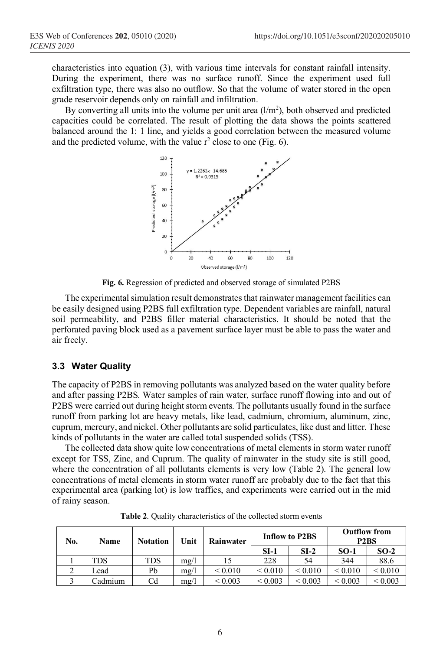characteristics into equation (3), with various time intervals for constant rainfall intensity. During the experiment, there was no surface runoff. Since the experiment used full exfiltration type, there was also no outflow. So that the volume of water stored in the open grade reservoir depends only on rainfall and infiltration.

By converting all units into the volume per unit area  $(l/m<sup>2</sup>)$ , both observed and predicted capacities could be correlated. The result of plotting the data shows the points scattered balanced around the 1: 1 line, and yields a good correlation between the measured volume and the predicted volume, with the value  $r^2$  close to one (Fig. 6).



**Fig. 6.** Regression of predicted and observed storage of simulated P2BS

The experimental simulation result demonstrates that rainwater management facilities can be easily designed using P2BS full exfiltration type. Dependent variables are rainfall, natural soil permeability, and P2BS filler material characteristics. It should be noted that the perforated paving block used as a pavement surface layer must be able to pass the water and air freely.

#### **3.3 Water Quality**

The capacity of P2BS in removing pollutants was analyzed based on the water quality before and after passing P2BS. Water samples of rain water, surface runoff flowing into and out of P2BS were carried out during height storm events. The pollutants usually found in the surface runoff from parking lot are heavy metals, like lead, cadmium, chromium, aluminum, zinc, cuprum, mercury, and nickel. Other pollutants are solid particulates, like dust and litter. These kinds of pollutants in the water are called total suspended solids (TSS).

The collected data show quite low concentrations of metal elements in storm water runoff except for TSS, Zinc, and Cuprum. The quality of rainwater in the study site is still good, where the concentration of all pollutants elements is very low (Table 2). The general low concentrations of metal elements in storm water runoff are probably due to the fact that this experimental area (parking lot) is low traffics, and experiments were carried out in the mid of rainy season.

| No. | Name    | <b>Notation</b> | Unit | Rainwater    | <b>Inflow to P2BS</b> |              | <b>Outflow from</b><br>P <sub>2</sub> B <sub>S</sub> |              |
|-----|---------|-----------------|------|--------------|-----------------------|--------------|------------------------------------------------------|--------------|
|     |         |                 |      |              | $SI-1$                | $SI-2$       | $SO-1$                                               | $SO-2$       |
|     | TDS     | TDS             | mg/l |              | 228                   | 54           | 344                                                  | 88.6         |
| ∠   | ∟ead    | Pb              | mg/l | ${}_{0.010}$ | ${}_{0.010}$          | ${}_{0.010}$ | ${}_{\leq 0.010}$                                    | ${}_{0.010}$ |
|     | `admium | Cd              | mg/l | ${}_{0.003}$ | ${}_{0.003}$          | ${}_{0.003}$ | ${}_{\leq 0.003}$                                    | ${}< 0.003$  |

**Table 2**. Quality characteristics of the collected storm events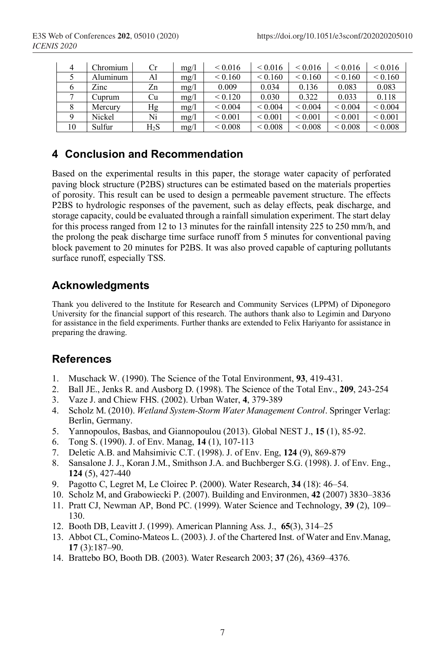| 4  | Chromium | Сr            | mg/l | < 0.016      | ${}_{0.016}$      | ${}_{0.016}$      | ${}_{0.016}$      | ${}_{0.016}$ |
|----|----------|---------------|------|--------------|-------------------|-------------------|-------------------|--------------|
|    | Aluminum | Al            | mg/l | ${}_{0.160}$ | ${}_{0.160}$      | ${}_{0.160}$      | ${}_{0.160}$      | ${}_{0.160}$ |
|    | Zinc     | Zn            | mg/l | 0.009        | 0.034             | 0.136             | 0.083             | 0.083        |
|    | Cuprum   | Cu            | mg/l | < 0.120      | 0.030             | 0.322             | 0.033             | 0.118        |
|    | Mercury  | Hg            | mg/l | ${}_{0.004}$ | ${}_{0.004}$      | ${}_{0.004}$      | ${}_{0.004}$      | ${}_{0.004}$ |
|    | Nickel   | Ni            | mg/l | ${}_{0.001}$ | ${}_{0.001}$      | ${}_{0.001}$      | ${}_{0.001}$      | ${}_{0.001}$ |
| 10 | Sulfur   | $_{\rm H_2S}$ | mg/l | ${}_{0.008}$ | ${}_{\leq 0.008}$ | ${}_{\leq 0.008}$ | ${}_{\leq 0.008}$ | ${}_{0.008}$ |

# **4 Conclusion and Recommendation**

Based on the experimental results in this paper, the storage water capacity of perforated paving block structure (P2BS) structures can be estimated based on the materials properties of porosity. This result can be used to design a permeable pavement structure. The effects P2BS to hydrologic responses of the pavement, such as delay effects, peak discharge, and storage capacity, could be evaluated through a rainfall simulation experiment. The start delay for this process ranged from 12 to 13 minutes for the rainfall intensity 225 to 250 mm/h, and the prolong the peak discharge time surface runoff from 5 minutes for conventional paving block pavement to 20 minutes for P2BS. It was also proved capable of capturing pollutants surface runoff, especially TSS.

# **Acknowledgments**

Thank you delivered to the Institute for Research and Community Services (LPPM) of Diponegoro University for the financial support of this research. The authors thank also to Legimin and Daryono for assistance in the field experiments. Further thanks are extended to Felix Hariyanto for assistance in preparing the drawing.

## **References**

- 1. Muschack W. (1990). The Science of the Total Environment, **93**, 419-431.
- 2. Ball JE., Jenks R. and Ausborg D. (1998). The Science of the Total Env., **209**, 243-254
- 3. Vaze J. and Chiew FHS. (2002). Urban Water, **4**, 379-389
- 4. Scholz M. (2010). *Wetland System-Storm Water Management Control*. Springer Verlag: Berlin, Germany.
- 5. Yannopoulos, Basbas, and Giannopoulou (2013). Global NEST J., **15** (1), 85-92.
- 6. Tong S. (1990). J. of Env. Manag, **14** (1), 107-113
- 7. Deletic A.B. and Mahsimivic C.T. (1998). J. of Env. Eng, **124** (9), 869-879
- 8. Sansalone J. J., Koran J.M., Smithson J.A. and Buchberger S.G. (1998). J. of Env. Eng., **124** (5), 427-440
- 9. Pagotto C, Legret M, Le Cloirec P. (2000). Water Research, **34** (18): 46–54.
- 10. Scholz M, and Grabowiecki P. (2007). Building and Environmen, **42** (2007) 3830–3836
- 11. Pratt CJ, Newman AP, Bond PC. (1999). Water Science and Technology, **39** (2), 109– 130.
- 12. Booth DB, Leavitt J. (1999). American Planning Ass. J., **65**(3), 314–25
- 13. Abbot CL, Comino-Mateos L. (2003). J. of the Chartered Inst. of Water and Env.Manag, **17** (3):187–90.
- 14. Brattebo BO, Booth DB. (2003). Water Research 2003; **37** (26), 4369–4376.